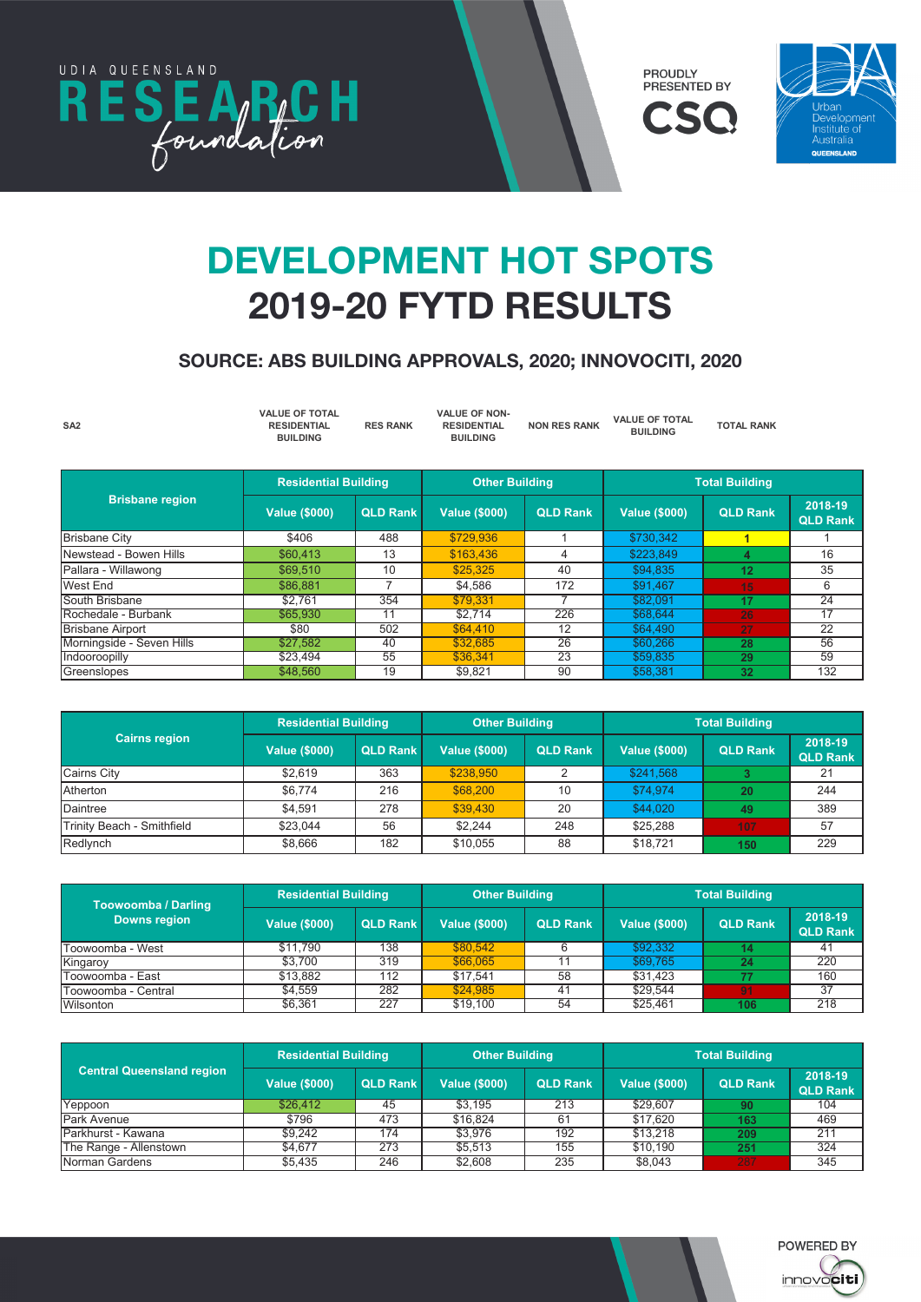





# DEVELOPMENT HOT SPOTS 2019-20 FYTD RESULTS

### SOURCE: ABS BUILDING APPROVALS, 2020; INNOVOCITI, 2020

| SA <sub>2</sub>        | <b>VALUE OF TOTAL</b><br><b>RESIDENTIAL</b><br><b>BUILDING</b> | <b>RES RANK</b> | <b>VALUE OF NON-</b><br><b>RESIDENTIAL</b><br><b>BUILDING</b> | <b>NON RES RANK</b> | <b>VALUE OF TOTAL</b><br><b>BUILDING</b> | <b>TOTAL RANK</b> |                            |
|------------------------|----------------------------------------------------------------|-----------------|---------------------------------------------------------------|---------------------|------------------------------------------|-------------------|----------------------------|
|                        | <b>Residential Building</b>                                    |                 | <b>Other Building</b>                                         |                     | <b>Total Building</b>                    |                   |                            |
| <b>Brisbane region</b> | <b>Value (\$000)</b>                                           | <b>QLD Rank</b> | <b>Value (\$000)</b>                                          | <b>QLD Rank</b>     | <b>Value (\$000)</b>                     | <b>QLD Rank</b>   | 2018-19<br><b>QLD Rank</b> |
| <b>Brisbane City</b>   | \$406                                                          | 488             | \$729,936                                                     |                     | \$730,342                                |                   |                            |
| Newstead - Bowen Hills | \$60,413                                                       | 13              | \$163,436                                                     |                     | \$223,849                                |                   | 16                         |
| Pallara - Willawong    | \$69,510                                                       | 10              | \$25,325                                                      | 40                  | \$94.835                                 | 12                | 35                         |

West End | \$86,881 | 7 | \$4,586 | 172 | \$91,467 <mark>| 15 6</mark> South Brisbane | \$2,761 | 354 <mark>| \$79,331 |</mark> 7 | \$82,091 | 17 | 24 Rochedale - Burbank \$65,930 11 \$2,714 226 \$68,644 **26** 17 Brisbane Airport | \$80 | 502 <mark>| \$64,410 | 12 | \$64,490 | 27 22</mark> Morningside - Seven Hills \$27,582 40 \$32,685 26 \$60,266 **28** 56

| Indooroopilly              | \$23.494                    | 55              | \$36,341              | 23              | \$59,835             | 29                                       | 59                         |
|----------------------------|-----------------------------|-----------------|-----------------------|-----------------|----------------------|------------------------------------------|----------------------------|
| Greenslopes                | \$48,560                    | 19              | \$9,821               | $90^{\circ}$    | \$58,381             | 32                                       | 132                        |
|                            |                             |                 |                       |                 |                      |                                          |                            |
|                            |                             |                 |                       |                 |                      |                                          |                            |
|                            | <b>Residential Building</b> |                 | <b>Other Building</b> |                 |                      |                                          |                            |
| <b>Cairns region</b>       | <b>Value (\$000)</b>        | <b>QLD Rank</b> | <b>Value (\$000)</b>  | <b>QLD Rank</b> | <b>Value (\$000)</b> | <b>Total Building</b><br><b>QLD Rank</b> | 2018-19<br><b>QLD Rank</b> |
| <b>Cairns City</b>         | \$2.619                     | 363             | \$238,950             |                 | \$241,568            | 3                                        | 21                         |
| Atherton                   | \$6.774                     | 216             | \$68,200              | 10              | \$74,974             | 20                                       | 244                        |
| Daintree                   | \$4,591                     | 278             | \$39,430              | 20              | \$44,020             | 49                                       | 389                        |
| Trinity Beach - Smithfield | \$23,044                    | 56              | \$2,244               | 248             | \$25,288             | 107                                      | 57                         |
|                            |                             |                 |                       |                 |                      |                                          |                            |

| <b>Toowoomba / Darling</b> | <b>Residential Building</b> |                 | <b>Other Building</b> |                 | <b>Total Building</b> |                 |                            |  |
|----------------------------|-----------------------------|-----------------|-----------------------|-----------------|-----------------------|-----------------|----------------------------|--|
| <b>Downs region</b>        | <b>Value (\$000)</b>        | <b>QLD Rank</b> | <b>Value (\$000)</b>  | <b>QLD Rank</b> | <b>Value (\$000)</b>  | <b>QLD Rank</b> | 2018-19<br><b>QLD Rank</b> |  |
| Toowoomba - West           | \$11.790                    | 138             | \$80.542              |                 | \$92,332              | 14.             | 41                         |  |
| Kingaroy                   | \$3.700                     | 319             | \$66.065              |                 | \$69,765              | 24              | 220                        |  |
| Toowoomba - East           | \$13.882                    | 112             | \$17.541              | 58              | \$31.423              |                 | 160                        |  |
| Toowoomba - Central        | \$4.559                     | 282             | \$24,985              | 41              | \$29.544              | 91              | 37                         |  |
| <b>Wilsonton</b>           | \$6,361                     | 227             | \$19,100              | 54              | \$25.461              | 106             | 218                        |  |

Redlynch \$8,666 182 \$10,055 88 \$18,721 **150** 229

|                                  | <b>Residential Building</b> |                 | <b>Other Building</b> |                 | <b>Total Building</b> |                 |                            |  |
|----------------------------------|-----------------------------|-----------------|-----------------------|-----------------|-----------------------|-----------------|----------------------------|--|
| <b>Central Queensland region</b> | <b>Value (\$000)</b>        | <b>QLD Rank</b> | <b>Value (\$000)</b>  | <b>QLD Rank</b> | <b>Value (\$000)</b>  | <b>QLD Rank</b> | 2018-19<br><b>QLD Rank</b> |  |
| Yeppoon                          | \$26,412                    | 45              | \$3.195               | 213             | \$29.607              | 90              | 104                        |  |
| <b>Park Avenue</b>               | \$796                       | 473             | \$16.824              | 61              | \$17.620              | 163             | 469                        |  |
| Parkhurst - Kawana               | \$9.242                     | 174             | \$3.976               | 192             | \$13,218              | 209             | 211                        |  |
| The Range - Allenstown           | \$4.677                     | 273             | \$5.513               | 155             | \$10.190              | 251             | 324                        |  |
| Norman Gardens                   | \$5,435                     | 246             | \$2.608               | 235             | \$8,043               | 287             | 345                        |  |

Jimboomba \$41,260 23 \$120,563 5 \$161,823 **7** 14

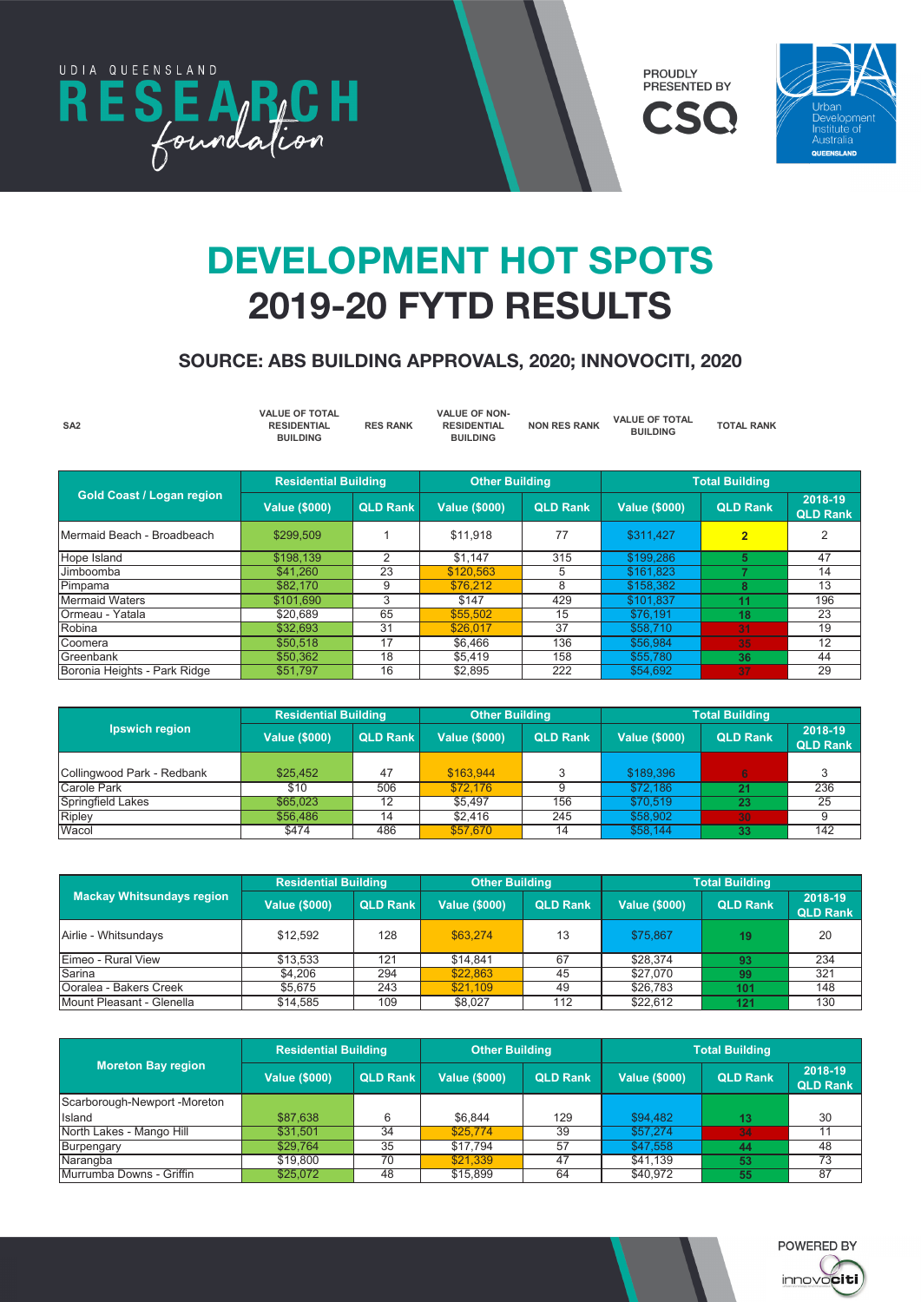

**Downs region**

**Sunshine Coast region**



**Value (\$000) QLD Rank Value (\$000) QLD Rank Value (\$000) QLD Rank 2018-19** 

**Value (\$000) QLD Rank Value (\$000) QLD Rank Value (\$000) QLD Rank 2018-19** 



#### **DEVELOPMENT HOT SPOTS** 2019-20 FYTD RESULTS Total **Development field** \$P015 wilson, 35,361 **227 \$261 227 \$26,461 227 \$26,461 \$25,461 \$25,461 \$25,461 \$25,461 \$25,461 \$25,461 \$25,461 \$26,461 \$26**

**Residential Building Other Building**

# $SOURCE: ABS BULDING APPROVALS, 2020; INNOVOCITI, 2020$

| SA <sub>2</sub>                  | <b>VALUE OF TOTAL</b><br><b>RESIDENTIAL</b><br><b>BUILDING</b> | <b>RES RANK</b> | <b>VALUE OF NON-</b><br><b>RESIDENTIAL</b><br><b>BUILDING</b> | <b>NON RES RANK</b> | <b>VALUE OF TOTAL</b><br><b>BUILDING</b> | <b>TOTAL RANK</b>     |                            |
|----------------------------------|----------------------------------------------------------------|-----------------|---------------------------------------------------------------|---------------------|------------------------------------------|-----------------------|----------------------------|
|                                  | <b>Residential Building</b>                                    |                 | <b>Other Building</b>                                         |                     |                                          | <b>Total Building</b> |                            |
| <b>Gold Coast / Logan region</b> | <b>Value (\$000)</b>                                           | <b>QLD Rank</b> | <b>Value (\$000)</b>                                          | <b>QLD Rank</b>     | <b>Value (\$000)</b>                     | <b>QLD Rank</b>       | 2018-19<br><b>QLD Rank</b> |
| Mermaid Beach - Broadbeach       | \$299,509                                                      |                 | \$11,918                                                      | 77                  | \$311,427                                | $\overline{2}$        | 2                          |
| Hope Island                      | \$198,139                                                      | 2               | \$1,147                                                       | 315                 | \$199.286                                | 5                     | 47                         |
| Jimboomba                        | \$41.260                                                       | 23              | \$120,563                                                     | 5                   | \$161.823                                | 7                     | 14                         |
| Pimpama                          | \$82,170                                                       | 9               | \$76.212                                                      | 8                   | \$158,382                                | 8                     | 13                         |
| <b>Mermaid Waters</b>            | \$101,690                                                      | 3               | \$147                                                         | 429                 | \$101.837                                | 11                    | 196                        |
| Ormeau - Yatala                  | \$20,689                                                       | 65              | \$55,502                                                      | 15                  | \$76,191                                 | 18                    | 23                         |
| Robina                           | \$32,693                                                       | 31              | \$26,017                                                      | 37                  | \$58,710                                 | 31                    | 19                         |
| Coomera                          | \$50,518                                                       | 17              | \$6.466                                                       | 136                 | \$56,984                                 | 35                    | 12                         |
| Greenbank                        | \$50,362                                                       | 18              | \$5,419                                                       | 158                 | \$55,780                                 | 36                    | 44                         |

|                            | <b>Residential Building</b> |                 | <b>Other Building</b> |                 | <b>Total Building</b> |                 |                            |
|----------------------------|-----------------------------|-----------------|-----------------------|-----------------|-----------------------|-----------------|----------------------------|
| Ipswich region             | <b>Value (\$000)</b>        | <b>QLD Rank</b> | <b>Value (\$000)</b>  | <b>QLD Rank</b> | <b>Value (\$000)</b>  | <b>QLD Rank</b> | 2018-19<br><b>QLD Rank</b> |
|                            |                             |                 |                       |                 |                       |                 |                            |
| Collingwood Park - Redbank | \$25,452                    | 47              | \$163,944             |                 | \$189,396             | 6               |                            |
| <b>Carole Park</b>         | \$10                        | 506             | \$72.176              |                 | \$72,186              | 21              | 236                        |
| <b>Springfield Lakes</b>   | \$65,023                    | 12              | \$5.497               | 156             | \$70.519              | 23              | 25                         |
| Ripley                     | \$56,486                    | 14              | \$2.416               | 245             | \$58,902              | 30              |                            |
| Wacol                      | \$474                       | 486             | \$57,670              | 14              | \$58.144              | 33              | 142                        |

Greenslopes \$48,560 19 \$9,821 90 \$58,381 **32** 132 Boronia Heights - Park Ridge \$51,797 16 \$2,895 222\$54,692 **37** 29

|                                  | <b>Residential Building</b> |                 | <b>Other Building</b> |                 | <b>Total Building</b> |                 |                            |
|----------------------------------|-----------------------------|-----------------|-----------------------|-----------------|-----------------------|-----------------|----------------------------|
| <b>Mackay Whitsundays region</b> | <b>Value (\$000)</b>        | <b>QLD Rank</b> | <b>Value (\$000)</b>  | <b>QLD Rank</b> | <b>Value (\$000)</b>  | <b>QLD Rank</b> | 2018-19<br><b>QLD Rank</b> |
| Airlie - Whitsundays             | \$12,592                    | 128             | \$63.274              | 13              | \$75.867              | 19              | 20                         |
| Eimeo - Rural View               | \$13.533                    | 121             | \$14.841              | 67              | \$28.374              | 93              | 234                        |
| Sarina                           | \$4.206                     | 294             | \$22,863              | 45              | \$27,070              | 99              | 321                        |
| Ooralea - Bakers Creek           | \$5.675                     | 243             | \$21.109              | 49              | \$26,783              | 101             | 148                        |
| Mount Pleasant - Glenella        | \$14,585                    | 109             | \$8,027               | 112             | \$22.612              | 121             | 130                        |

|                              | <b>Residential Building</b> |                 | <b>Other Building</b> |                 | <b>Total Building</b> |                 |                            |  |
|------------------------------|-----------------------------|-----------------|-----------------------|-----------------|-----------------------|-----------------|----------------------------|--|
| <b>Moreton Bay region</b>    | <b>Value (\$000)</b>        | <b>QLD Rank</b> | <b>Value (\$000)</b>  | <b>QLD Rank</b> | <b>Value (\$000)</b>  | <b>QLD Rank</b> | 2018-19<br><b>QLD Rank</b> |  |
| Scarborough-Newport -Moreton |                             |                 |                       |                 |                       |                 |                            |  |
| Island                       | \$87,638                    | 6               | \$6.844               | 129             | \$94,482              | 13              | 30                         |  |
| North Lakes - Mango Hill     | \$31,501                    | 34              | \$25,774              | 39              | \$57,274              | 34              |                            |  |
| Burpengary                   | \$29.764                    | 35              | \$17.794              | 57              | \$47,558              | 44              | 48                         |  |
| Narangba                     | \$19,800                    | 70              | \$21.339              | 47              | \$41.139              | 53              | 73                         |  |
| Murrumba Downs - Griffin     | \$25,072                    | 48              | \$15,899              | 64              | \$40.972              | 55              | 87                         |  |

Jimboomba \$41,260 23 \$120,563 5 \$161,823 **7** 14

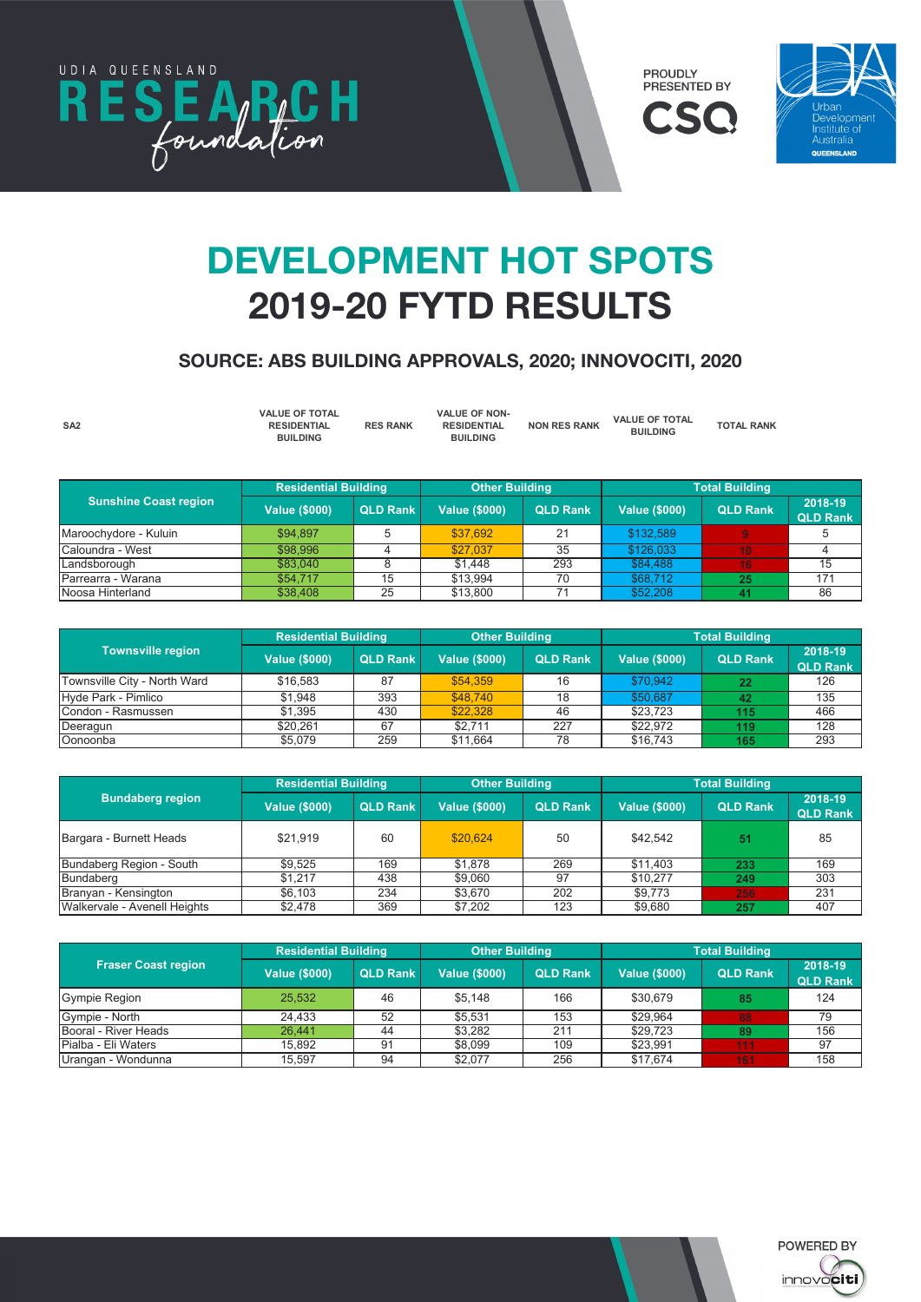

**Central Queensland region**







### **DEVELOPMENT HOT SPOTS** 2019-20 FYTD RESULTS **Residential Building Other Building Total Building** Ooralea - Bakers Creek \$5,675 243 \$21,109 49 \$26,783 **101** 148 **MOUNT PLANSE AND AND INTERNATIVE AND INCLUDED**

#### SOURCE: ABS BUILDING APPROVALS, 2020; INNOVOCITI, 2020 **Value (\$000) QLD Rank Value (\$000) QLD Rank Value (\$000) QLD Rank 2018-19**

| SA <sub>2</sub> | <b>VALUE OF TOTAL</b><br><b>RESIDENTIAL</b><br><b>BUILDING</b> | <b>RES RANK</b> | <b>VALUE OF NON-</b><br><b>RESIDENTIAL</b><br><b>BUILDING</b> | <b>NON RES RANK</b> | <b>VALUE OF TOTAL</b><br><b>BUILDING</b> | <b>TOTAL RANK</b> |  |
|-----------------|----------------------------------------------------------------|-----------------|---------------------------------------------------------------|---------------------|------------------------------------------|-------------------|--|
|-----------------|----------------------------------------------------------------|-----------------|---------------------------------------------------------------|---------------------|------------------------------------------|-------------------|--|

|                              | <b>Residential Building</b> |                 | <b>Other Building</b> |                 | <b>Total Building</b> |                 |                            |
|------------------------------|-----------------------------|-----------------|-----------------------|-----------------|-----------------------|-----------------|----------------------------|
| <b>Sunshine Coast region</b> | <b>Value (\$000)</b>        | <b>QLD Rank</b> | <b>Value (\$000)</b>  | <b>QLD Rank</b> | <b>Value (\$000)</b>  | <b>QLD Rank</b> | 2018-19<br><b>QLD Rank</b> |
| Maroochydore - Kuluin        | \$94.897                    | 5               | \$37,692              | 21              | \$132,589             | $\mathbf{Q}$    |                            |
| Caloundra - West             | \$98,996                    |                 | \$27.037              | 35              | \$126,033             | 10              |                            |
| Landsborough                 | \$83.040                    |                 | \$1,448               | 293             | \$84,488              | 16              | 15                         |
| Parrearra - Warana           | \$54,717                    | 15              | \$13.994              | 70              | \$68,712              | 25              | 171                        |
| Noosa Hinterland             | \$38,408                    | 25              | \$13,800              |                 | \$52,208              |                 | 86                         |

|                              | <b>Residential Building</b> |                 | <b>Other Building</b> |                 | <b>Total Building</b> |                 |                            |  |
|------------------------------|-----------------------------|-----------------|-----------------------|-----------------|-----------------------|-----------------|----------------------------|--|
| <b>Townsville region</b>     | <b>Value (\$000)</b>        | <b>QLD Rank</b> | <b>Value (\$000)</b>  | <b>QLD Rank</b> | Value (\$000)         | <b>QLD Rank</b> | 2018-19<br><b>QLD Rank</b> |  |
| Townsville City - North Ward | \$16,583                    | 87              | \$54,359              | 16              | \$70,942              | 22              | 126                        |  |
| Hyde Park - Pimlico          | \$1.948                     | 393             | \$48.740              | 18              | \$50,687              | 42              | 135                        |  |
| Condon - Rasmussen           | \$1.395                     | 430             | \$22,328              | 46              | \$23.723              | 115             | 466                        |  |
| Deeragun                     | \$20.261                    | 67              | \$2.711               | 227             | \$22,972              | 119             | 128                        |  |
| Oonoonba                     | \$5,079                     | 259             | \$11.664              | 78              | \$16,743              | 165             | 293                        |  |

|                              | <b>Residential Building</b> |                 | <b>Other Building</b> |                 | <b>Total Building</b> |                 |                            |
|------------------------------|-----------------------------|-----------------|-----------------------|-----------------|-----------------------|-----------------|----------------------------|
| <b>Bundaberg region</b>      | <b>Value (\$000)</b>        | <b>QLD Rank</b> | <b>Value (\$000)</b>  | <b>QLD Rank</b> | <b>Value (\$000)</b>  | <b>QLD Rank</b> | 2018-19<br><b>QLD Rank</b> |
| Bargara - Burnett Heads      | \$21,919                    | 60              | \$20,624              | 50              | \$42,542              | 51              | 85                         |
| Bundaberg Region - South     | \$9.525                     | 169             | \$1.878               | 269             | \$11,403              | 233             | 169                        |
| <b>Bundaberg</b>             | \$1.217                     | 438             | \$9,060               | 97              | \$10,277              | 249             | 303                        |
| Branyan - Kensington         | \$6.103                     | 234             | \$3,670               | 202             | \$9,773               | 256             | 231                        |
| Walkervale - Avenell Heights | \$2,478                     | 369             | \$7,202               | 123             | \$9,680               | 257             | 407                        |

| <b>Fraser Coast region</b> | <b>Residential Building</b> |                 | <b>Other Building</b> |                 | <b>Total Building</b> |                 |                            |
|----------------------------|-----------------------------|-----------------|-----------------------|-----------------|-----------------------|-----------------|----------------------------|
|                            | <b>Value (\$000)</b>        | <b>QLD Rank</b> | <b>Value (\$000)</b>  | <b>QLD Rank</b> | <b>Value (\$000)</b>  | <b>QLD Rank</b> | 2018-19<br><b>QLD Rank</b> |
| Gympie Region              | 25.532                      | 46              | \$5.148               | 166             | \$30,679              | 85              | 124                        |
| Gympie - North             | 24.433                      | 52              | \$5.531               | 153             | \$29.964              | 88              | 79                         |
| Booral - River Heads       | 26.441                      | 44              | \$3.282               | 211             | \$29.723              | 89              | 156                        |
| Pialba - Eli Waters        | 15.892                      | 91              | \$8.099               | 109             | \$23.991              | 111             | 97                         |
| Urangan - Wondunna         | 15.597                      | 94              | \$2,077               | 256             | \$17.674              | 161             | 158                        |

Jimboomba \$41,260 23 \$120,563 5 \$161,823 **7** 14